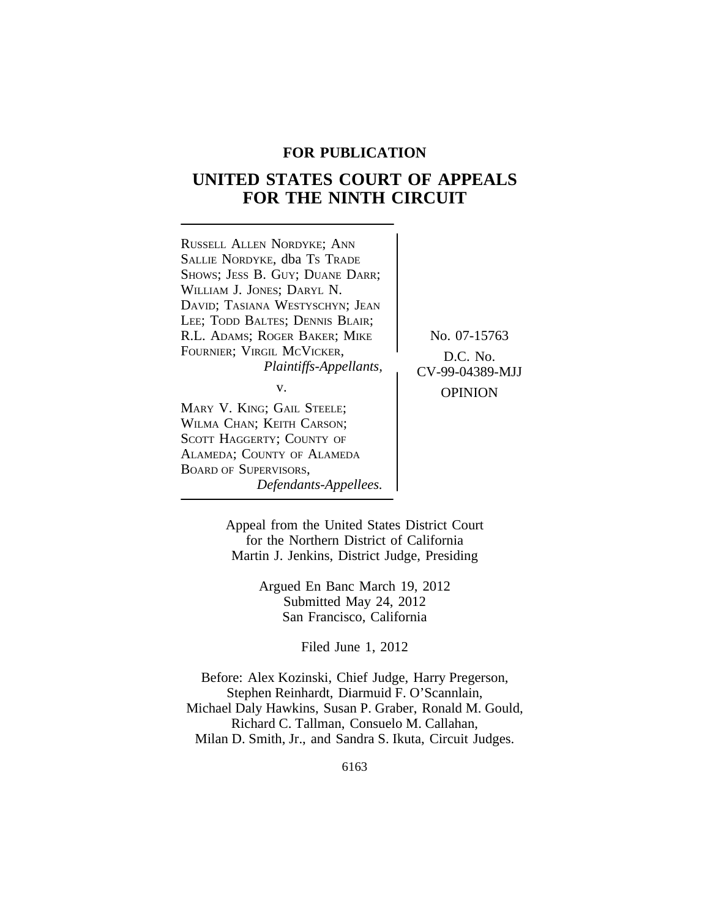## **FOR PUBLICATION**

# **UNITED STATES COURT OF APPEALS FOR THE NINTH CIRCUIT**

| RUSSELL ALLEN NORDYKE; ANN          |                 |
|-------------------------------------|-----------------|
| <b>SALLIE NORDYKE, dba Ts TRADE</b> |                 |
| SHOWS; JESS B. GUY; DUANE DARR;     |                 |
| WILLIAM J. JONES; DARYL N.          |                 |
| DAVID; TASIANA WESTYSCHYN; JEAN     |                 |
| LEE; TODD BALTES; DENNIS BLAIR;     |                 |
| R.L. ADAMS; ROGER BAKER; MIKE       | No. 07-15763    |
| FOURNIER; VIRGIL MCVICKER,          | D.C. No.        |
| Plaintiffs-Appellants,              | CV-99-04389-MJJ |
| V.                                  | <b>OPINION</b>  |
| MARY V. KING; GAIL STEELE;          |                 |
| WILMA CHAN; KEITH CARSON;           |                 |
| SCOTT HAGGERTY; COUNTY OF           |                 |
| ALAMEDA; COUNTY OF ALAMEDA          |                 |
| <b>BOARD OF SUPERVISORS,</b>        |                 |
| Defendants-Appellees.               |                 |

Appeal from the United States District Court for the Northern District of California Martin J. Jenkins, District Judge, Presiding

> Argued En Banc March 19, 2012 Submitted May 24, 2012 San Francisco, California

> > Filed June 1, 2012

Before: Alex Kozinski, Chief Judge, Harry Pregerson, Stephen Reinhardt, Diarmuid F. O'Scannlain, Michael Daly Hawkins, Susan P. Graber, Ronald M. Gould, Richard C. Tallman, Consuelo M. Callahan, Milan D. Smith, Jr., and Sandra S. Ikuta, Circuit Judges.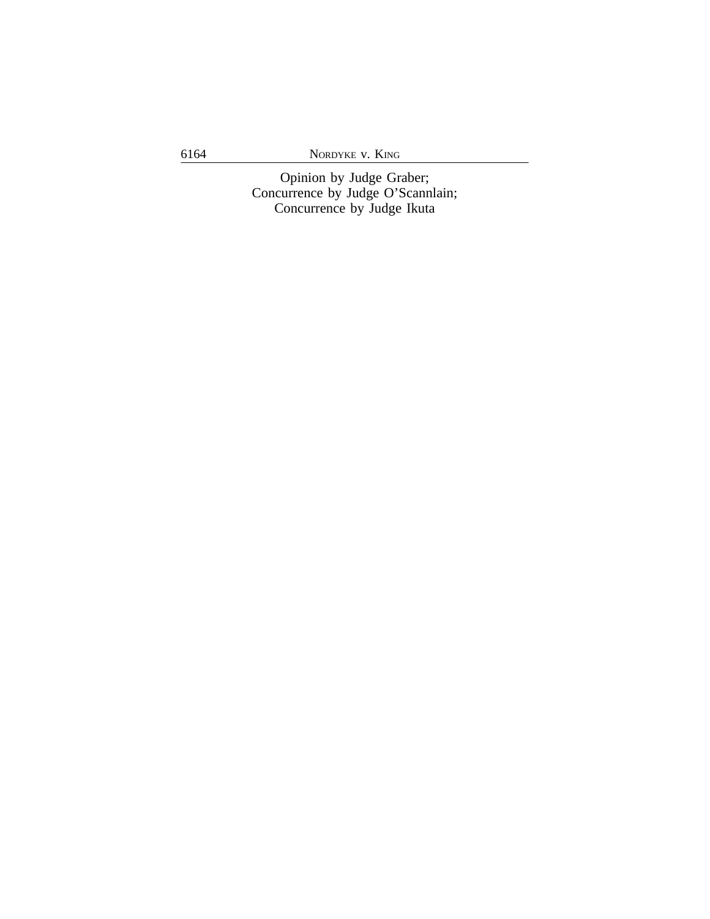6164 NORDYKE v. KING

Opinion by Judge Graber; Concurrence by Judge O'Scannlain; Concurrence by Judge Ikuta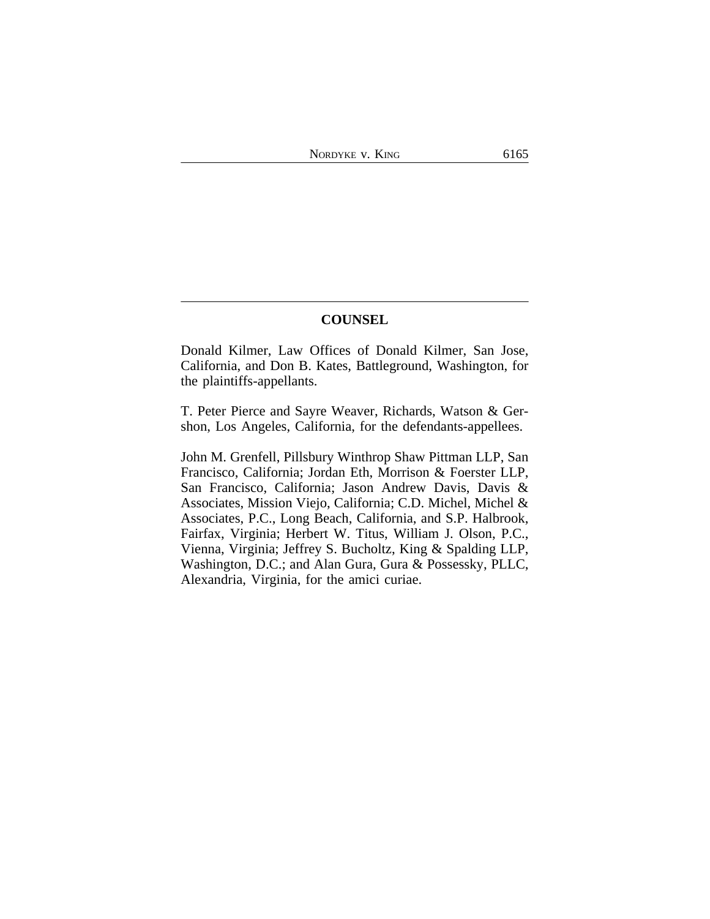### **COUNSEL**

Donald Kilmer, Law Offices of Donald Kilmer, San Jose, California, and Don B. Kates, Battleground, Washington, for the plaintiffs-appellants.

T. Peter Pierce and Sayre Weaver, Richards, Watson & Gershon, Los Angeles, California, for the defendants-appellees.

John M. Grenfell, Pillsbury Winthrop Shaw Pittman LLP, San Francisco, California; Jordan Eth, Morrison & Foerster LLP, San Francisco, California; Jason Andrew Davis, Davis & Associates, Mission Viejo, California; C.D. Michel, Michel & Associates, P.C., Long Beach, California, and S.P. Halbrook, Fairfax, Virginia; Herbert W. Titus, William J. Olson, P.C., Vienna, Virginia; Jeffrey S. Bucholtz, King & Spalding LLP, Washington, D.C.; and Alan Gura, Gura & Possessky, PLLC, Alexandria, Virginia, for the amici curiae.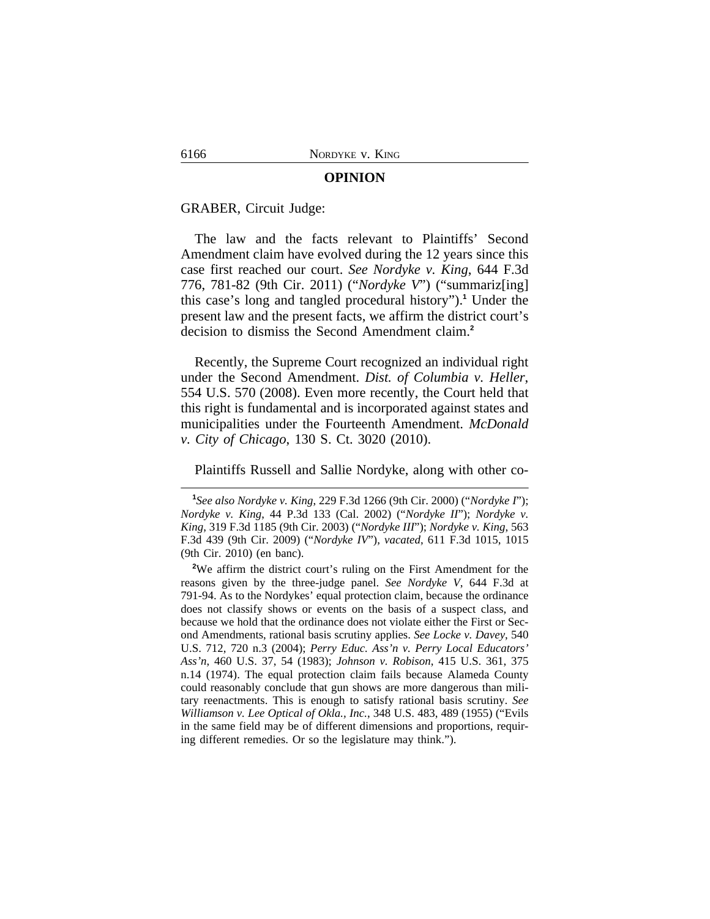#### **OPINION**

GRABER, Circuit Judge:

The law and the facts relevant to Plaintiffs' Second Amendment claim have evolved during the 12 years since this case first reached our court. *See Nordyke v. King*, 644 F.3d 776, 781-82 (9th Cir. 2011) ("*Nordyke V*") ("summariz[ing] this case's long and tangled procedural history").**<sup>1</sup>** Under the present law and the present facts, we affirm the district court's decision to dismiss the Second Amendment claim.**<sup>2</sup>**

Recently, the Supreme Court recognized an individual right under the Second Amendment. *Dist. of Columbia v. Heller*, 554 U.S. 570 (2008). Even more recently, the Court held that this right is fundamental and is incorporated against states and municipalities under the Fourteenth Amendment. *McDonald v. City of Chicago*, 130 S. Ct. 3020 (2010).

Plaintiffs Russell and Sallie Nordyke, along with other co-

**<sup>1</sup>** *See also Nordyke v. King*, 229 F.3d 1266 (9th Cir. 2000) ("*Nordyke I*"); *Nordyke v. King*, 44 P.3d 133 (Cal. 2002) ("*Nordyke II*"); *Nordyke v. King*, 319 F.3d 1185 (9th Cir. 2003) ("*Nordyke III*"); *Nordyke v. King*, 563 F.3d 439 (9th Cir. 2009) ("*Nordyke IV*"), *vacated*, 611 F.3d 1015, 1015 (9th Cir. 2010) (en banc).

**<sup>2</sup>**We affirm the district court's ruling on the First Amendment for the reasons given by the three-judge panel. *See Nordyke V*, 644 F.3d at 791-94. As to the Nordykes' equal protection claim, because the ordinance does not classify shows or events on the basis of a suspect class, and because we hold that the ordinance does not violate either the First or Second Amendments, rational basis scrutiny applies. *See Locke v. Davey*, 540 U.S. 712, 720 n.3 (2004); *Perry Educ. Ass'n v. Perry Local Educators' Ass'n*, 460 U.S. 37, 54 (1983); *Johnson v. Robison*, 415 U.S. 361, 375 n.14 (1974). The equal protection claim fails because Alameda County could reasonably conclude that gun shows are more dangerous than military reenactments. This is enough to satisfy rational basis scrutiny. *See Williamson v. Lee Optical of Okla., Inc.*, 348 U.S. 483, 489 (1955) ("Evils in the same field may be of different dimensions and proportions, requiring different remedies. Or so the legislature may think.").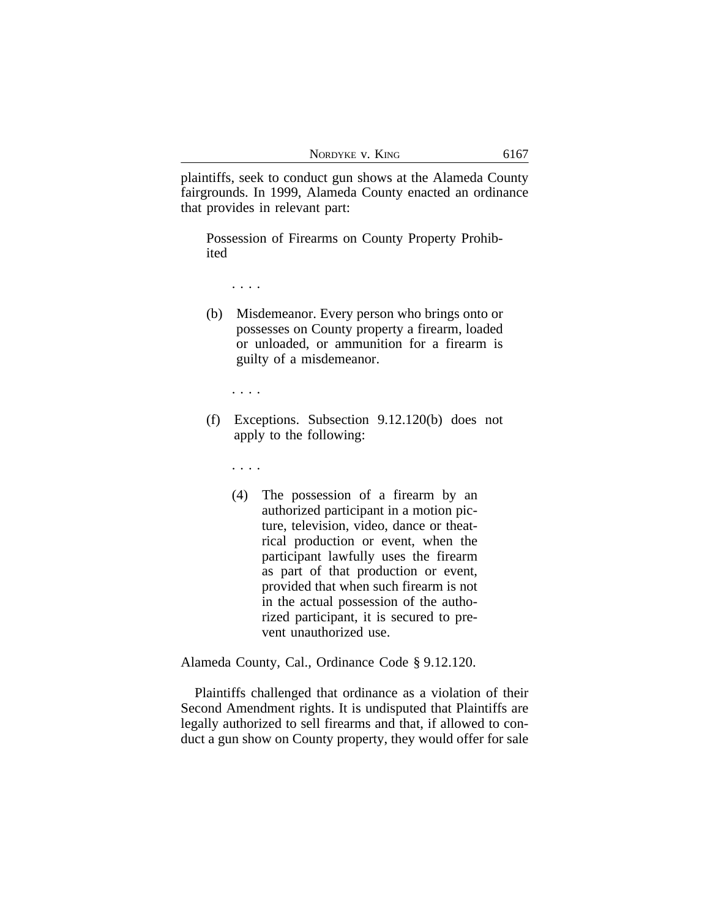plaintiffs, seek to conduct gun shows at the Alameda County fairgrounds. In 1999, Alameda County enacted an ordinance that provides in relevant part:

Possession of Firearms on County Property Prohibited

. . . .

(b) Misdemeanor. Every person who brings onto or possesses on County property a firearm, loaded or unloaded, or ammunition for a firearm is guilty of a misdemeanor.

. . . .

(f) Exceptions. Subsection 9.12.120(b) does not apply to the following:

. . . .

(4) The possession of a firearm by an authorized participant in a motion picture, television, video, dance or theatrical production or event, when the participant lawfully uses the firearm as part of that production or event, provided that when such firearm is not in the actual possession of the authorized participant, it is secured to prevent unauthorized use.

Alameda County, Cal., Ordinance Code § 9.12.120.

Plaintiffs challenged that ordinance as a violation of their Second Amendment rights. It is undisputed that Plaintiffs are legally authorized to sell firearms and that, if allowed to conduct a gun show on County property, they would offer for sale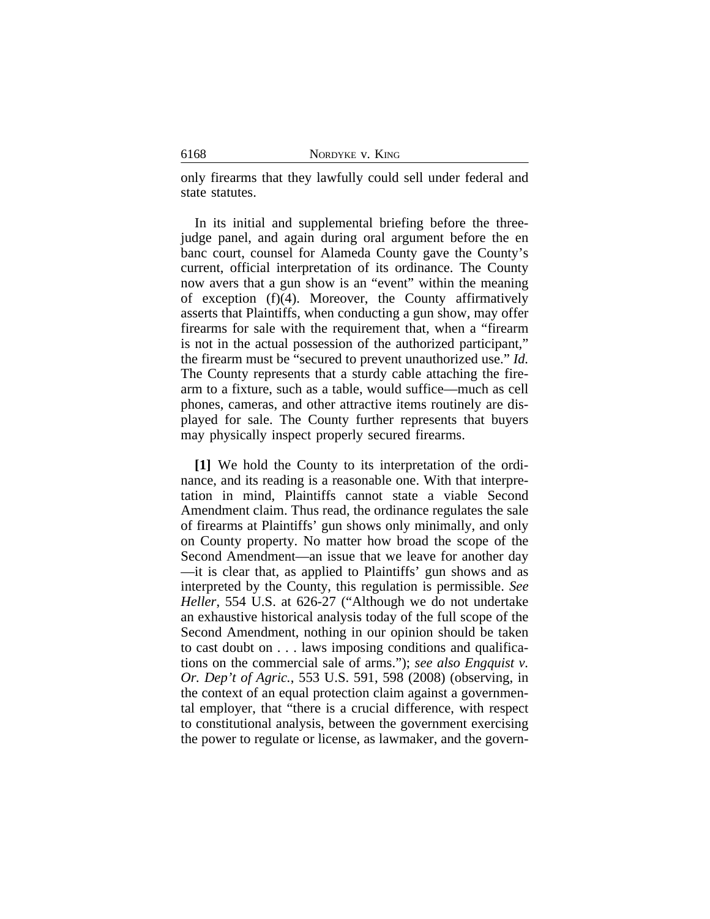only firearms that they lawfully could sell under federal and state statutes.

In its initial and supplemental briefing before the threejudge panel, and again during oral argument before the en banc court, counsel for Alameda County gave the County's current, official interpretation of its ordinance. The County now avers that a gun show is an "event" within the meaning of exception (f)(4). Moreover, the County affirmatively asserts that Plaintiffs, when conducting a gun show, may offer firearms for sale with the requirement that, when a "firearm is not in the actual possession of the authorized participant," the firearm must be "secured to prevent unauthorized use." *Id.* The County represents that a sturdy cable attaching the firearm to a fixture, such as a table, would suffice—much as cell phones, cameras, and other attractive items routinely are displayed for sale. The County further represents that buyers may physically inspect properly secured firearms.

**[1]** We hold the County to its interpretation of the ordinance, and its reading is a reasonable one. With that interpretation in mind, Plaintiffs cannot state a viable Second Amendment claim. Thus read, the ordinance regulates the sale of firearms at Plaintiffs' gun shows only minimally, and only on County property. No matter how broad the scope of the Second Amendment—an issue that we leave for another day —it is clear that, as applied to Plaintiffs' gun shows and as interpreted by the County, this regulation is permissible. *See Heller*, 554 U.S. at 626-27 ("Although we do not undertake an exhaustive historical analysis today of the full scope of the Second Amendment, nothing in our opinion should be taken to cast doubt on . . . laws imposing conditions and qualifications on the commercial sale of arms."); *see also Engquist v. Or. Dep't of Agric.*, 553 U.S. 591, 598 (2008) (observing, in the context of an equal protection claim against a governmental employer, that "there is a crucial difference, with respect to constitutional analysis, between the government exercising the power to regulate or license, as lawmaker, and the govern-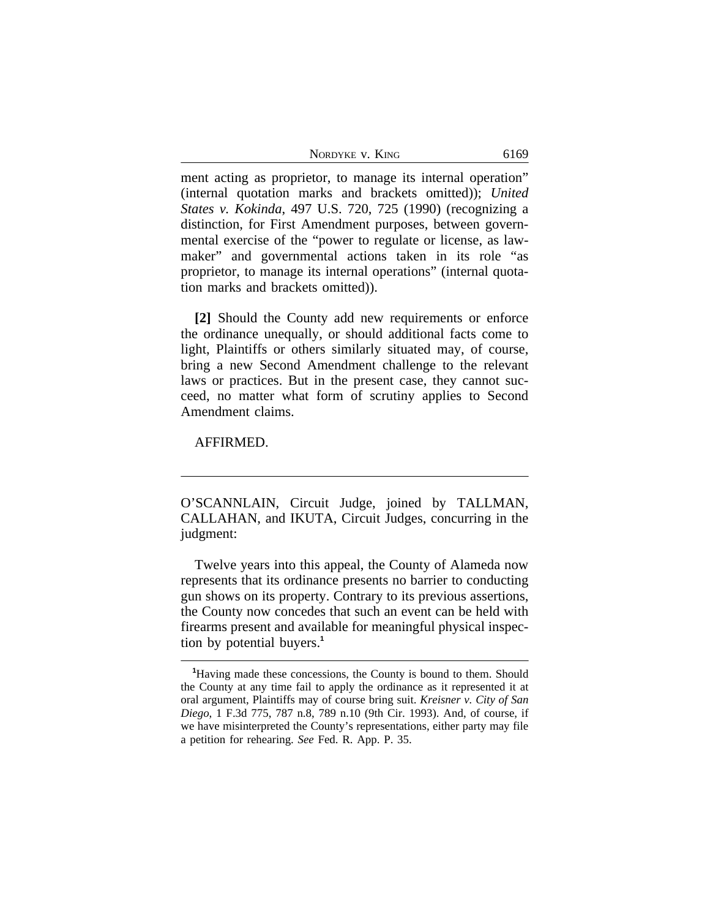| NORDYKE V. KING |  |
|-----------------|--|
|-----------------|--|

ment acting as proprietor, to manage its internal operation" (internal quotation marks and brackets omitted)); *United States v. Kokinda*, 497 U.S. 720, 725 (1990) (recognizing a distinction, for First Amendment purposes, between governmental exercise of the "power to regulate or license, as lawmaker" and governmental actions taken in its role "as proprietor, to manage its internal operations" (internal quotation marks and brackets omitted)).

**[2]** Should the County add new requirements or enforce the ordinance unequally, or should additional facts come to light, Plaintiffs or others similarly situated may, of course, bring a new Second Amendment challenge to the relevant laws or practices. But in the present case, they cannot succeed, no matter what form of scrutiny applies to Second Amendment claims.

#### AFFIRMED.

O'SCANNLAIN, Circuit Judge, joined by TALLMAN, CALLAHAN, and IKUTA, Circuit Judges, concurring in the judgment:

Twelve years into this appeal, the County of Alameda now represents that its ordinance presents no barrier to conducting gun shows on its property. Contrary to its previous assertions, the County now concedes that such an event can be held with firearms present and available for meaningful physical inspection by potential buyers.**<sup>1</sup>**

**<sup>1</sup>**Having made these concessions, the County is bound to them. Should the County at any time fail to apply the ordinance as it represented it at oral argument, Plaintiffs may of course bring suit. *Kreisner v. City of San Diego*, 1 F.3d 775, 787 n.8, 789 n.10 (9th Cir. 1993). And, of course, if we have misinterpreted the County's representations, either party may file a petition for rehearing. *See* Fed. R. App. P. 35.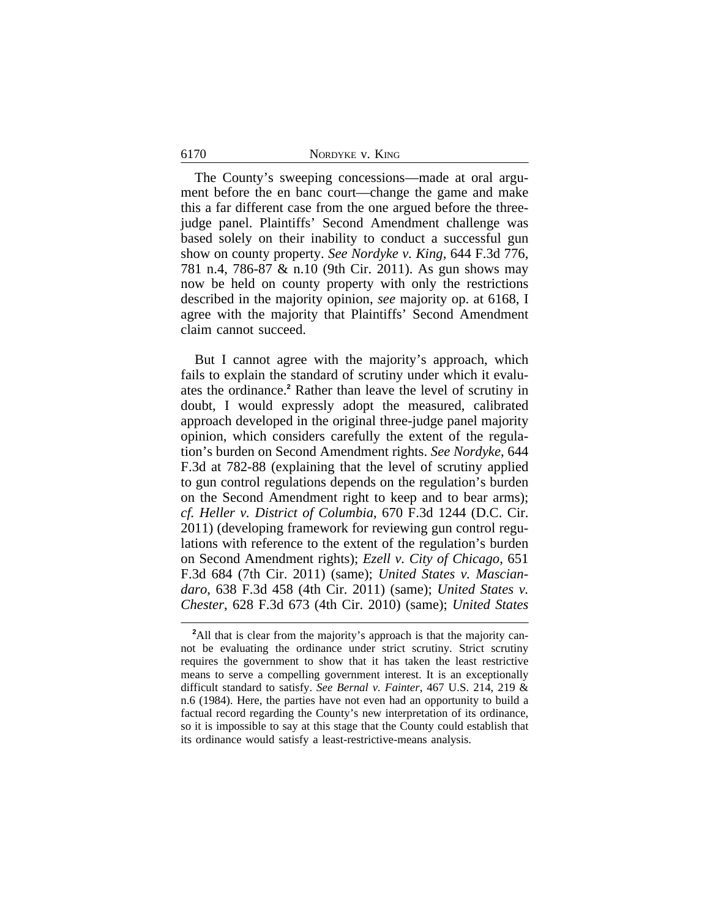6170 NORDYKE v. KING

The County's sweeping concessions—made at oral argument before the en banc court—change the game and make this a far different case from the one argued before the threejudge panel. Plaintiffs' Second Amendment challenge was based solely on their inability to conduct a successful gun show on county property. *See Nordyke v. King*, 644 F.3d 776, 781 n.4, 786-87 & n.10 (9th Cir. 2011). As gun shows may now be held on county property with only the restrictions described in the majority opinion, *see* majority op. at 6168, I agree with the majority that Plaintiffs' Second Amendment claim cannot succeed.

But I cannot agree with the majority's approach, which fails to explain the standard of scrutiny under which it evaluates the ordinance.**<sup>2</sup>** Rather than leave the level of scrutiny in doubt, I would expressly adopt the measured, calibrated approach developed in the original three-judge panel majority opinion, which considers carefully the extent of the regulation's burden on Second Amendment rights. *See Nordyke*, 644 F.3d at 782-88 (explaining that the level of scrutiny applied to gun control regulations depends on the regulation's burden on the Second Amendment right to keep and to bear arms); *cf. Heller v. District of Columbia*, 670 F.3d 1244 (D.C. Cir. 2011) (developing framework for reviewing gun control regulations with reference to the extent of the regulation's burden on Second Amendment rights); *Ezell v. City of Chicago*, 651 F.3d 684 (7th Cir. 2011) (same); *United States v. Masciandaro*, 638 F.3d 458 (4th Cir. 2011) (same); *United States v. Chester*, 628 F.3d 673 (4th Cir. 2010) (same); *United States*

<sup>&</sup>lt;sup>2</sup>All that is clear from the majority's approach is that the majority cannot be evaluating the ordinance under strict scrutiny. Strict scrutiny requires the government to show that it has taken the least restrictive means to serve a compelling government interest. It is an exceptionally difficult standard to satisfy. *See Bernal v. Fainter*, 467 U.S. 214, 219 & n.6 (1984). Here, the parties have not even had an opportunity to build a factual record regarding the County's new interpretation of its ordinance, so it is impossible to say at this stage that the County could establish that its ordinance would satisfy a least-restrictive-means analysis.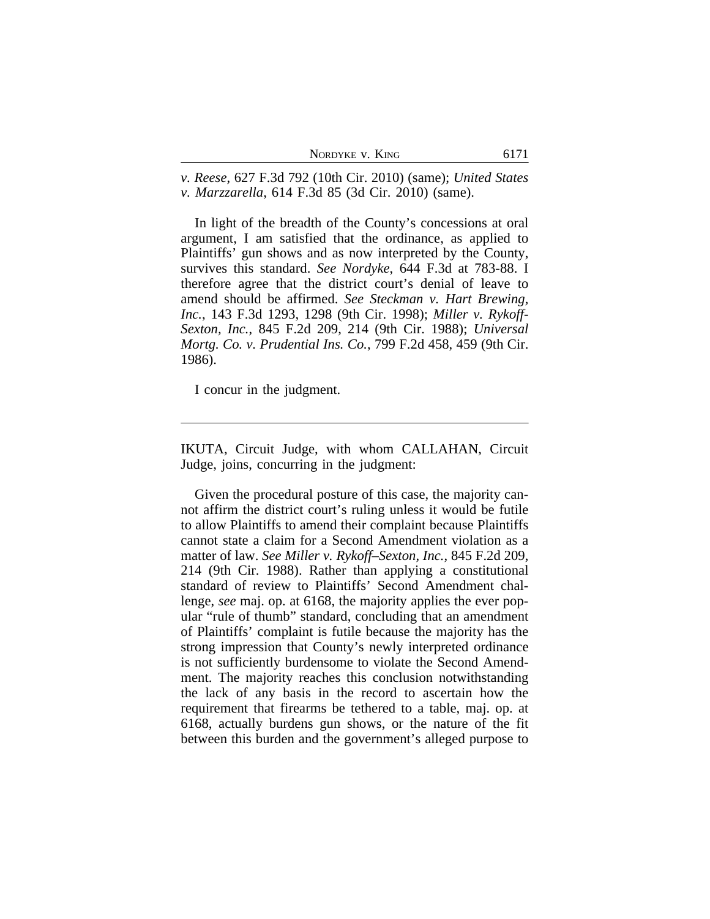| NORDYKE V. KING |  |
|-----------------|--|
|-----------------|--|

*v. Reese*, 627 F.3d 792 (10th Cir. 2010) (same); *United States v. Marzzarella*, 614 F.3d 85 (3d Cir. 2010) (same).

In light of the breadth of the County's concessions at oral argument, I am satisfied that the ordinance, as applied to Plaintiffs' gun shows and as now interpreted by the County, survives this standard. *See Nordyke*, 644 F.3d at 783-88. I therefore agree that the district court's denial of leave to amend should be affirmed. *See Steckman v. Hart Brewing, Inc.*, 143 F.3d 1293, 1298 (9th Cir. 1998); *Miller v. Rykoff-Sexton, Inc.*, 845 F.2d 209, 214 (9th Cir. 1988); *Universal Mortg. Co. v. Prudential Ins. Co.*, 799 F.2d 458, 459 (9th Cir. 1986).

I concur in the judgment.

IKUTA, Circuit Judge, with whom CALLAHAN, Circuit Judge, joins, concurring in the judgment:

Given the procedural posture of this case, the majority cannot affirm the district court's ruling unless it would be futile to allow Plaintiffs to amend their complaint because Plaintiffs cannot state a claim for a Second Amendment violation as a matter of law. *See Miller v. Rykoff–Sexton, Inc.*, 845 F.2d 209, 214 (9th Cir. 1988). Rather than applying a constitutional standard of review to Plaintiffs' Second Amendment challenge, *see* maj. op. at 6168, the majority applies the ever popular "rule of thumb" standard, concluding that an amendment of Plaintiffs' complaint is futile because the majority has the strong impression that County's newly interpreted ordinance is not sufficiently burdensome to violate the Second Amendment. The majority reaches this conclusion notwithstanding the lack of any basis in the record to ascertain how the requirement that firearms be tethered to a table, maj. op. at 6168, actually burdens gun shows, or the nature of the fit between this burden and the government's alleged purpose to